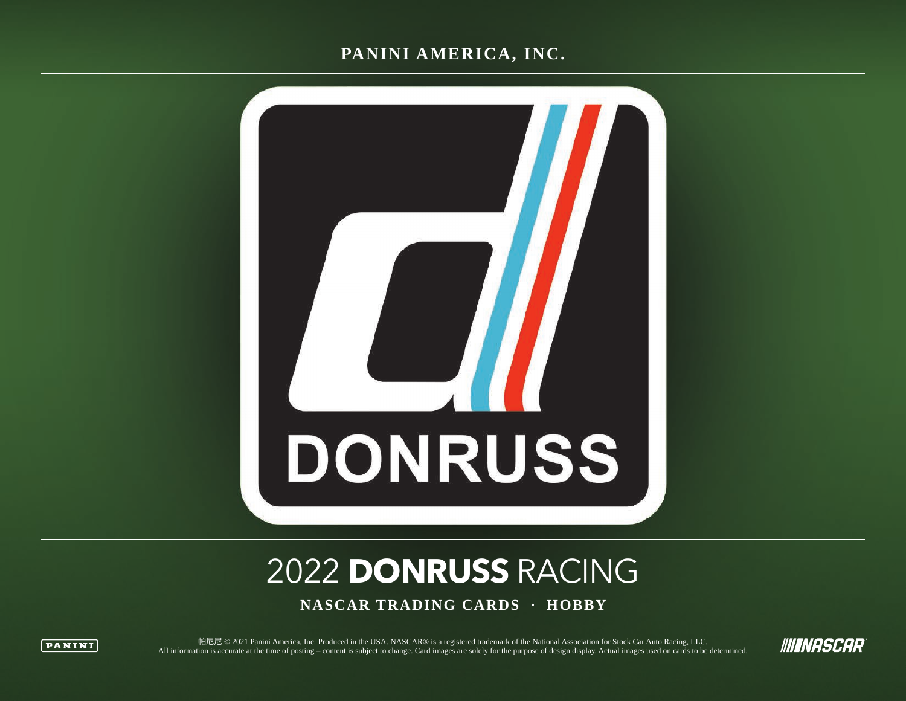### **PANINI AMERICA, INC.**



# 2022 **DONRUSS** RACING

**NASCAR TRADING CARDS · HOBBY**



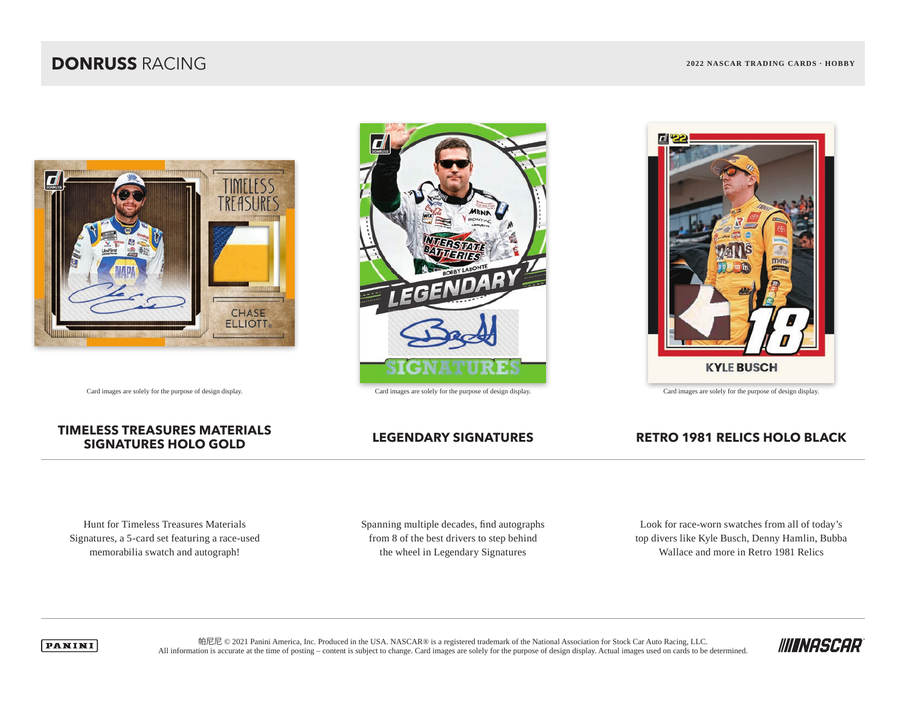### **DONRUSS** RACING **2022 NASCAR TRADING CARDS · HOBBY**





Card images are solely for the purpose of design display. Card images are solely for the purpose of design display. Card images are solely for the purpose of design display.

## **TIMELESS TREASURES MATERIALS**

### **SIGNATURES HOLO GOLD LEGENDARY SIGNATURES RETRO 1981 RELICS HOLO BLACK**

Hunt for Timeless Treasures Materials Signatures, a 5-card set featuring a race-used memorabilia swatch and autograph!

Spanning multiple decades, find autographs from 8 of the best drivers to step behind the wheel in Legendary Signatures

Look for race-worn swatches from all of today's top divers like Kyle Busch, Denny Hamlin, Bubba Wallace and more in Retro 1981 Relics



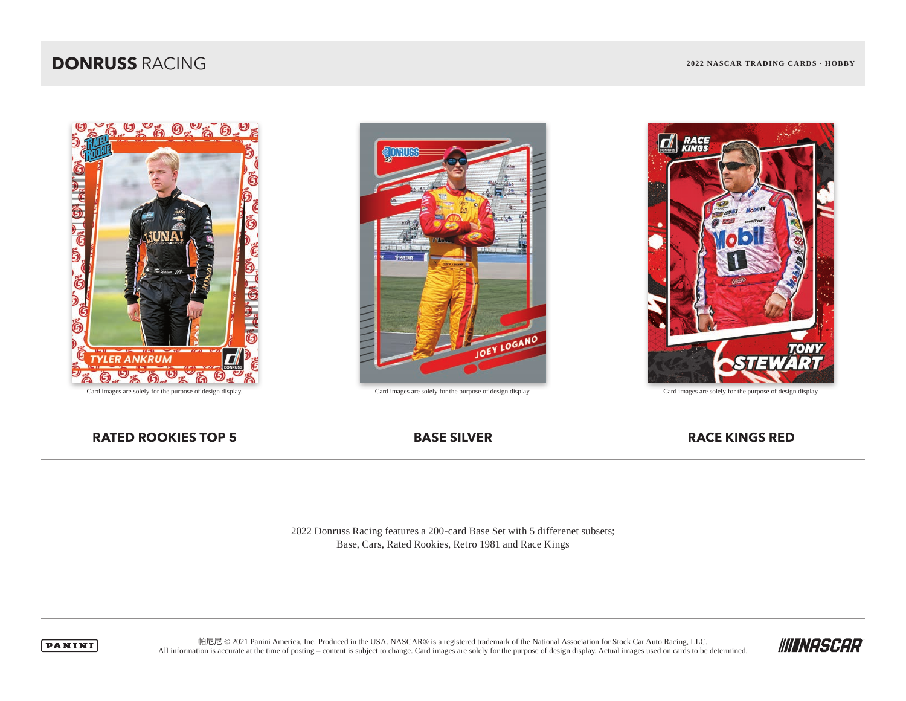### **DONRUSS** RACING **2022 NASCAR TRADING CARDS · HOBBY**







Card images are solely for the purpose of design display. Card images are solely for the purpose of design display. Card images are solely for the purpose of design display.

### **RATED ROOKIES TOP 5 BASE SILVER RACE KINGS RED**

2022 Donruss Racing features a 200-card Base Set with 5 differenet subsets; Base, Cars, Rated Rookies, Retro 1981 and Race Kings



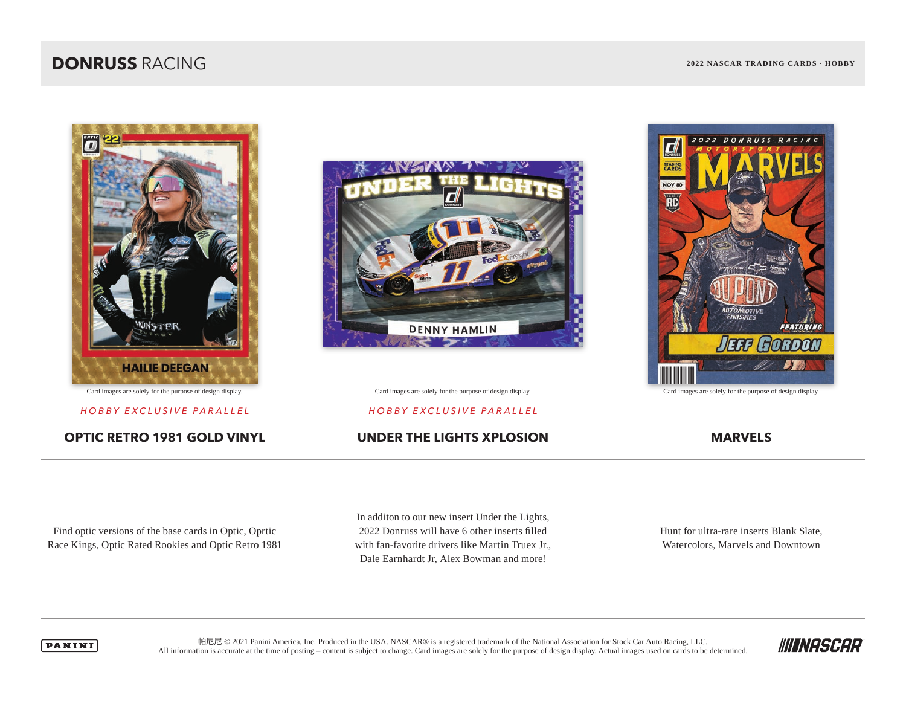### **DONRUSS** RACING **2022 NASCAR TRADING CARDS · HOBBY**



### **OPTIC RETRO 1981 GOLD VINYL UNDER THE LIGHTS XPLOSION MARVELS**



Card images are solely for the purpose of design display. Card images are solely for the purpose of design display. Card images are solely for the purpose of design display.

### *HOBBY EXCLUSIVE PARALLEL HOBBY EXCLUSIVE PARALLEL*



Find optic versions of the base cards in Optic, Oprtic Race Kings, Optic Rated Rookies and Optic Retro 1981 In additon to our new insert Under the Lights, 2022 Donruss will have 6 other inserts filled with fan-favorite drivers like Martin Truex Jr., Dale Earnhardt Jr, Alex Bowman and more!

Hunt for ultra-rare inserts Blank Slate, Watercolors, Marvels and Downtown